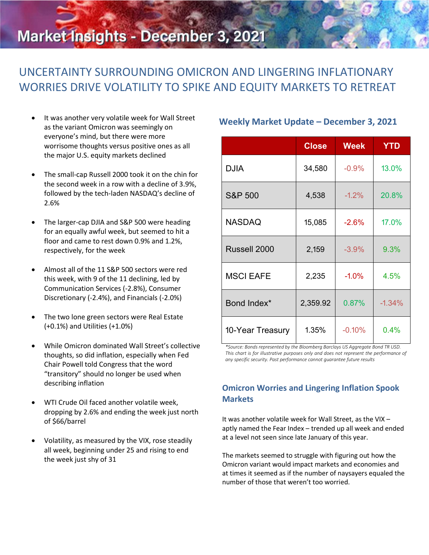# Market Insights - December 3, 2021

## UNCERTAINTY SURROUNDING OMICRON AND LINGERING INFLATIONARY WORRIES DRIVE VOLATILITY TO SPIKE AND EQUITY MARKETS TO RETREAT

- It was another very volatile week for Wall Street as the variant Omicron was seemingly on everyone's mind, but there were more worrisome thoughts versus positive ones as all the major U.S. equity markets declined
- The small-cap Russell 2000 took it on the chin for the second week in a row with a decline of 3.9%, followed by the tech-laden NASDAQ's decline of 2.6%
- The larger-cap DJIA and S&P 500 were heading for an equally awful week, but seemed to hit a floor and came to rest down 0.9% and 1.2%, respectively, for the week
- Almost all of the 11 S&P 500 sectors were red this week, with 9 of the 11 declining, led by Communication Services (-2.8%), Consumer Discretionary (-2.4%), and Financials (-2.0%)
- The two lone green sectors were Real Estate (+0.1%) and Utilities (+1.0%)
- While Omicron dominated Wall Street's collective thoughts, so did inflation, especially when Fed Chair Powell told Congress that the word "transitory" should no longer be used when describing inflation
- WTI Crude Oil faced another volatile week, dropping by 2.6% and ending the week just north of \$66/barrel
- Volatility, as measured by the VIX, rose steadily all week, beginning under 25 and rising to end the week just shy of 31

## **Weekly Market Update – December 3, 2021**

|                    | <b>Close</b> | <b>Week</b> | <b>YTD</b> |
|--------------------|--------------|-------------|------------|
| <b>DJIA</b>        | 34,580       | $-0.9%$     | 13.0%      |
| <b>S&amp;P 500</b> | 4,538        | $-1.2%$     | 20.8%      |
| <b>NASDAQ</b>      | 15,085       | $-2.6%$     | 17.0%      |
| Russell 2000       | 2,159        | $-3.9%$     | 9.3%       |
| <b>MSCI EAFE</b>   | 2,235        | $-1.0%$     | 4.5%       |
| Bond Index*        | 2,359.92     | 0.87%       | $-1.34%$   |
| 10-Year Treasury   | 1.35%        | $-0.10%$    | 0.4%       |

*\*Source: Bonds represented by the Bloomberg Barclays US Aggregate Bond TR USD. This chart is for illustrative purposes only and does not represent the performance of any specific security. Past performance cannot guarantee future results*

## **Omicron Worries and Lingering Inflation Spook Markets**

It was another volatile week for Wall Street, as the VIX – aptly named the Fear Index – trended up all week and ended at a level not seen since late January of this year.

The markets seemed to struggle with figuring out how the Omicron variant would impact markets and economies and at times it seemed as if the number of naysayers equaled the number of those that weren't too worried.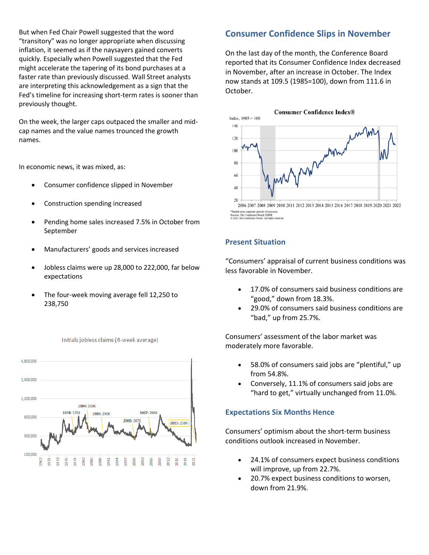But when Fed Chair Powell suggested that the word "transitory" was no longer appropriate when discussing inflation, it seemed as if the naysayers gained converts quickly. Especially when Powell suggested that the Fed might accelerate the tapering of its bond purchases at a faster rate than previously discussed. Wall Street analysts are interpreting this acknowledgement as a sign that the Fed's timeline for increasing short-term rates is sooner than previously thought.

On the week, the larger caps outpaced the smaller and midcap names and the value names trounced the growth names.

In economic news, it was mixed, as:

- Consumer confidence slipped in November
- Construction spending increased
- Pending home sales increased 7.5% in October from September
- Manufacturers' goods and services increased
- Jobless claims were up 28,000 to 222,000, far below expectations
- The four-week moving average fell 12,250 to 238,750



#### Initials jobless claims (4-week average)

## **Consumer Confidence Slips in November**

On the last day of the month, the Conference Board reported that its Consumer Confidence Index decreased in November, after an increase in October. The Index now stands at 109.5 (1985=100), down from 111.6 in October.



2006 2007 2008 2009 2010 2011 2012 2013 2014 2015 2016 2017 2018 2019 2020 2021 2022 \*Shaded areas represent periods of recess<br>Sources: The Conference Board; NBER<br>© 2021 The Conference Board. All rights

## **Present Situation**

"Consumers' appraisal of current business conditions was less favorable in November.

- 17.0% of consumers said business conditions are "good," down from 18.3%.
- 29.0% of consumers said business conditions are "bad," up from 25.7%.

Consumers' assessment of the labor market was moderately more favorable.

- 58.0% of consumers said jobs are "plentiful," up from 54.8%.
- Conversely, 11.1% of consumers said jobs are "hard to get," virtually unchanged from 11.0%.

### **Expectations Six Months Hence**

Consumers' optimism about the short-term business conditions outlook increased in November.

- 24.1% of consumers expect business conditions will improve, up from 22.7%.
- 20.7% expect business conditions to worsen, down from 21.9%.